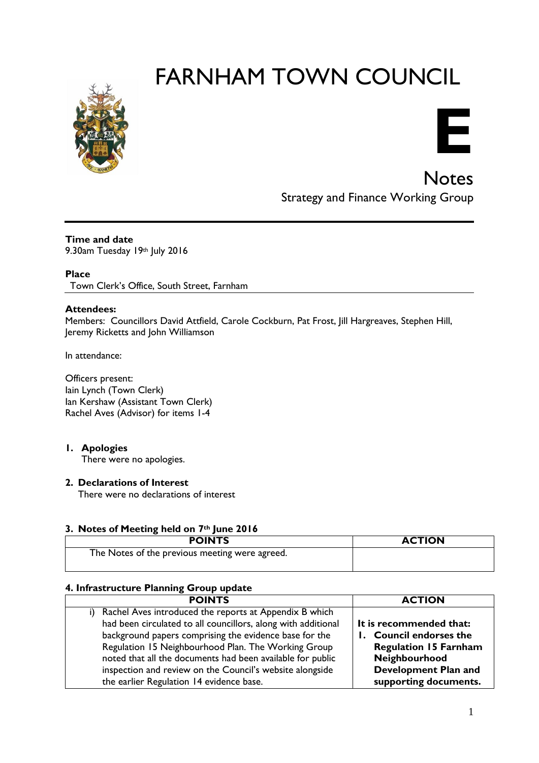# FARNHAM TOWN COUNCIL





**Notes** Strategy and Finance Working Group

#### **Time and date**

9.30am Tuesday 19th July 2016

### **Place**

Town Clerk's Office, South Street, Farnham

#### **Attendees:**

Members: Councillors David Attfield, Carole Cockburn, Pat Frost, Jill Hargreaves, Stephen Hill, Jeremy Ricketts and John Williamson

In attendance:

Officers present: Iain Lynch (Town Clerk) Ian Kershaw (Assistant Town Clerk) Rachel Aves (Advisor) for items 1-4

#### **1. Apologies**

There were no apologies.

#### **2. Declarations of Interest**

There were no declarations of interest

#### **3. Notes of Meeting held on 7th June 2016**

| <b>POINTS</b>                                  | <b>ACTION</b> |
|------------------------------------------------|---------------|
| The Notes of the previous meeting were agreed. |               |

#### **4. Infrastructure Planning Group update**

| <b>POINTS</b>                                                                                                                                                                                                                                                                                                                                                                                                     | <b>ACTION</b>                                                                                                                                        |
|-------------------------------------------------------------------------------------------------------------------------------------------------------------------------------------------------------------------------------------------------------------------------------------------------------------------------------------------------------------------------------------------------------------------|------------------------------------------------------------------------------------------------------------------------------------------------------|
| i) Rachel Aves introduced the reports at Appendix B which<br>had been circulated to all councillors, along with additional<br>background papers comprising the evidence base for the<br>Regulation 15 Neighbourhood Plan. The Working Group<br>noted that all the documents had been available for public<br>inspection and review on the Council's website alongside<br>the earlier Regulation 14 evidence base. | It is recommended that:<br>1. Council endorses the<br><b>Regulation 15 Farnham</b><br>Neighbourhood<br>Development Plan and<br>supporting documents. |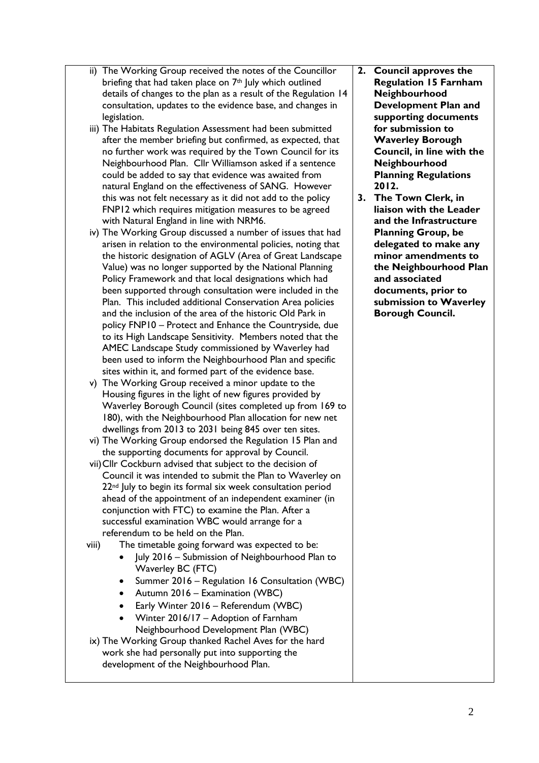- ii) The Working Group received the notes of the Councillor briefing that had taken place on 7<sup>th</sup> July which outlined details of changes to the plan as a result of the Regulation 14 consultation, updates to the evidence base, and changes in legislation.
- iii) The Habitats Regulation Assessment had been submitted after the member briefing but confirmed, as expected, that no further work was required by the Town Council for its Neighbourhood Plan. Cllr Williamson asked if a sentence could be added to say that evidence was awaited from natural England on the effectiveness of SANG. However this was not felt necessary as it did not add to the policy FNP12 which requires mitigation measures to be agreed with Natural England in line with NRM6.
- iv) The Working Group discussed a number of issues that had arisen in relation to the environmental policies, noting that the historic designation of AGLV (Area of Great Landscape Value) was no longer supported by the National Planning Policy Framework and that local designations which had been supported through consultation were included in the Plan. This included additional Conservation Area policies and the inclusion of the area of the historic Old Park in policy FNP10 – Protect and Enhance the Countryside, due to its High Landscape Sensitivity. Members noted that the AMEC Landscape Study commissioned by Waverley had been used to inform the Neighbourhood Plan and specific sites within it, and formed part of the evidence base.
- v) The Working Group received a minor update to the Housing figures in the light of new figures provided by Waverley Borough Council (sites completed up from 169 to 180), with the Neighbourhood Plan allocation for new net dwellings from 2013 to 2031 being 845 over ten sites.
- vi) The Working Group endorsed the Regulation 15 Plan and the supporting documents for approval by Council.
- vii)Cllr Cockburn advised that subject to the decision of Council it was intended to submit the Plan to Waverley on 22<sup>nd</sup> July to begin its formal six week consultation period ahead of the appointment of an independent examiner (in conjunction with FTC) to examine the Plan. After a successful examination WBC would arrange for a referendum to be held on the Plan.
- viii) The timetable going forward was expected to be:
	- July 2016 Submission of Neighbourhood Plan to Waverley BC (FTC)
	- Summer 2016 Regulation 16 Consultation (WBC)
	- Autumn 2016 Examination (WBC)
	- Early Winter 2016 Referendum (WBC)
	- Winter 2016/17 Adoption of Farnham Neighbourhood Development Plan (WBC)
- ix) The Working Group thanked Rachel Aves for the hard work she had personally put into supporting the development of the Neighbourhood Plan.
- **2. Council approves the Regulation 15 Farnham Neighbourhood Development Plan and supporting documents for submission to Waverley Borough Council, in line with the Neighbourhood Planning Regulations 2012.**
- **3. The Town Clerk, in liaison with the Leader and the Infrastructure Planning Group, be delegated to make any minor amendments to the Neighbourhood Plan and associated documents, prior to submission to Waverley Borough Council.**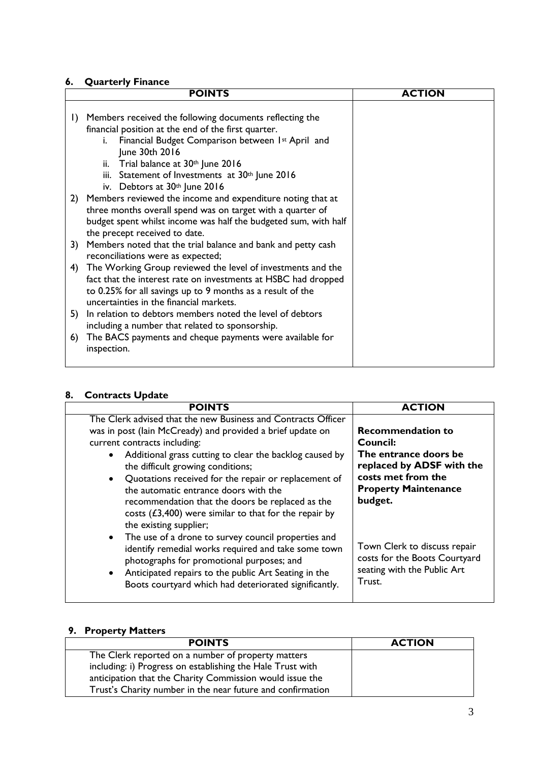# **6. Quarterly Finance**

|         | <b>POINTS</b>                                                                                                                                                                                                                                                                                     | <b>ACTION</b> |
|---------|---------------------------------------------------------------------------------------------------------------------------------------------------------------------------------------------------------------------------------------------------------------------------------------------------|---------------|
| $\vert$ | Members received the following documents reflecting the<br>financial position at the end of the first quarter.<br>Financial Budget Comparison between 1st April and<br>i.<br>June 30th 2016<br>ii. Trial balance at 30 <sup>th</sup> June 2016<br>iii. Statement of Investments at 30th June 2016 |               |
|         | iv. Debtors at 30th June 2016<br>2) Members reviewed the income and expenditure noting that at<br>three months overall spend was on target with a quarter of<br>budget spent whilst income was half the budgeted sum, with half<br>the precept received to date.                                  |               |
| 3)      | Members noted that the trial balance and bank and petty cash<br>reconciliations were as expected;                                                                                                                                                                                                 |               |
| 4)      | The Working Group reviewed the level of investments and the<br>fact that the interest rate on investments at HSBC had dropped<br>to 0.25% for all savings up to 9 months as a result of the<br>uncertainties in the financial markets.                                                            |               |
| 5)      | In relation to debtors members noted the level of debtors<br>including a number that related to sponsorship.                                                                                                                                                                                      |               |
| 6)      | The BACS payments and cheque payments were available for<br>inspection.                                                                                                                                                                                                                           |               |

## **8. Contracts Update**

| <b>POINTS</b>                                                                                                                                                                                                                                                                                                                                                                                                                                                                                         | <b>ACTION</b>                                                                                                                                              |
|-------------------------------------------------------------------------------------------------------------------------------------------------------------------------------------------------------------------------------------------------------------------------------------------------------------------------------------------------------------------------------------------------------------------------------------------------------------------------------------------------------|------------------------------------------------------------------------------------------------------------------------------------------------------------|
| The Clerk advised that the new Business and Contracts Officer<br>was in post (lain McCready) and provided a brief update on<br>current contracts including:<br>Additional grass cutting to clear the backlog caused by<br>the difficult growing conditions;<br>Quotations received for the repair or replacement of<br>the automatic entrance doors with the<br>recommendation that the doors be replaced as the<br>costs $(£3,400)$ were similar to that for the repair by<br>the existing supplier; | <b>Recommendation to</b><br>Council:<br>The entrance doors be<br>replaced by ADSF with the<br>costs met from the<br><b>Property Maintenance</b><br>budget. |
| The use of a drone to survey council properties and<br>identify remedial works required and take some town<br>photographs for promotional purposes; and<br>Anticipated repairs to the public Art Seating in the<br>$\bullet$<br>Boots courtyard which had deteriorated significantly.                                                                                                                                                                                                                 | Town Clerk to discuss repair<br>costs for the Boots Courtyard<br>seating with the Public Art<br>Trust.                                                     |

## **9. Property Matters**

| <b>POINTS</b>                                              | <b>ACTION</b> |
|------------------------------------------------------------|---------------|
| The Clerk reported on a number of property matters         |               |
| including: i) Progress on establishing the Hale Trust with |               |
| anticipation that the Charity Commission would issue the   |               |
| Trust's Charity number in the near future and confirmation |               |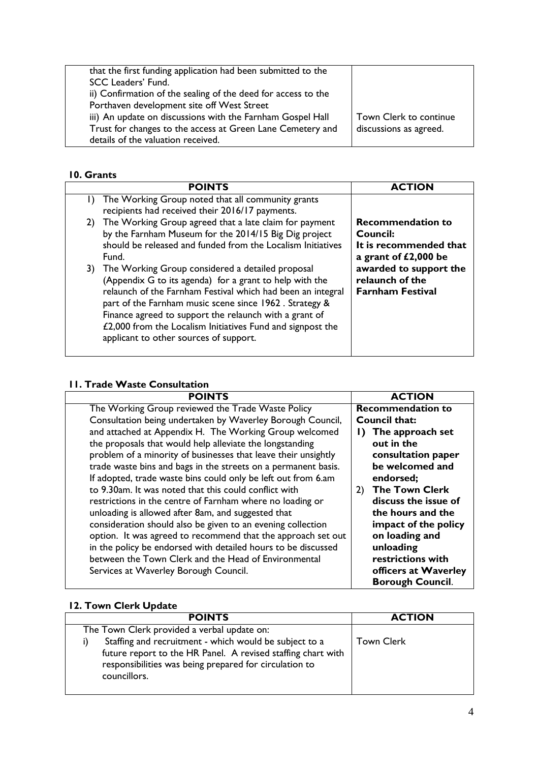| that the first funding application had been submitted to the  |                        |
|---------------------------------------------------------------|------------------------|
| SCC Leaders' Fund.                                            |                        |
| ii) Confirmation of the sealing of the deed for access to the |                        |
| Porthaven development site off West Street                    |                        |
| iii) An update on discussions with the Farnham Gospel Hall    | Town Clerk to continue |
| Trust for changes to the access at Green Lane Cemetery and    | discussions as agreed. |
| details of the valuation received.                            |                        |

# **10. Grants**

| <b>POINTS</b>                                                                                                                                                                                                                                                                                                                                                                                             | <b>ACTION</b>                                                                                                                                                  |
|-----------------------------------------------------------------------------------------------------------------------------------------------------------------------------------------------------------------------------------------------------------------------------------------------------------------------------------------------------------------------------------------------------------|----------------------------------------------------------------------------------------------------------------------------------------------------------------|
| The Working Group noted that all community grants<br>$\Box$<br>recipients had received their 2016/17 payments.                                                                                                                                                                                                                                                                                            |                                                                                                                                                                |
| 2) The Working Group agreed that a late claim for payment<br>by the Farnham Museum for the 2014/15 Big Dig project<br>should be released and funded from the Localism Initiatives<br>Fund.                                                                                                                                                                                                                | <b>Recommendation to</b><br>Council:<br>It is recommended that<br>a grant of £2,000 be<br>awarded to support the<br>relaunch of the<br><b>Farnham Festival</b> |
| 3) The Working Group considered a detailed proposal<br>(Appendix G to its agenda) for a grant to help with the<br>relaunch of the Farnham Festival which had been an integral<br>part of the Farnham music scene since 1962. Strategy &<br>Finance agreed to support the relaunch with a grant of<br>£2,000 from the Localism Initiatives Fund and signpost the<br>applicant to other sources of support. |                                                                                                                                                                |

# **11. Trade Waste Consultation**

| <b>POINTS</b>                                                  |    | <b>ACTION</b>            |
|----------------------------------------------------------------|----|--------------------------|
| The Working Group reviewed the Trade Waste Policy              |    | <b>Recommendation to</b> |
| Consultation being undertaken by Waverley Borough Council,     |    | <b>Council that:</b>     |
| and attached at Appendix H. The Working Group welcomed         |    | 1) The approach set      |
| the proposals that would help alleviate the longstanding       |    | out in the               |
| problem of a minority of businesses that leave their unsightly |    | consultation paper       |
| trade waste bins and bags in the streets on a permanent basis. |    | be welcomed and          |
| If adopted, trade waste bins could only be left out from 6.am  |    | endorsed;                |
| to 9.30am. It was noted that this could conflict with          | 2) | <b>The Town Clerk</b>    |
| restrictions in the centre of Farnham where no loading or      |    | discuss the issue of     |
| unloading is allowed after 8am, and suggested that             |    | the hours and the        |
| consideration should also be given to an evening collection    |    | impact of the policy     |
| option. It was agreed to recommend that the approach set out   |    | on loading and           |
| in the policy be endorsed with detailed hours to be discussed  |    | unloading                |
| between the Town Clerk and the Head of Environmental           |    | restrictions with        |
| Services at Waverley Borough Council.                          |    | officers at Waverley     |
|                                                                |    | <b>Borough Council.</b>  |
|                                                                |    |                          |

# **12. Town Clerk Update**

| <b>POINTS</b>                                                                                                                                                                                    | <b>ACTION</b>     |
|--------------------------------------------------------------------------------------------------------------------------------------------------------------------------------------------------|-------------------|
| The Town Clerk provided a verbal update on:                                                                                                                                                      |                   |
| Staffing and recruitment - which would be subject to a<br>future report to the HR Panel. A revised staffing chart with<br>responsibilities was being prepared for circulation to<br>councillors. | <b>Town Clerk</b> |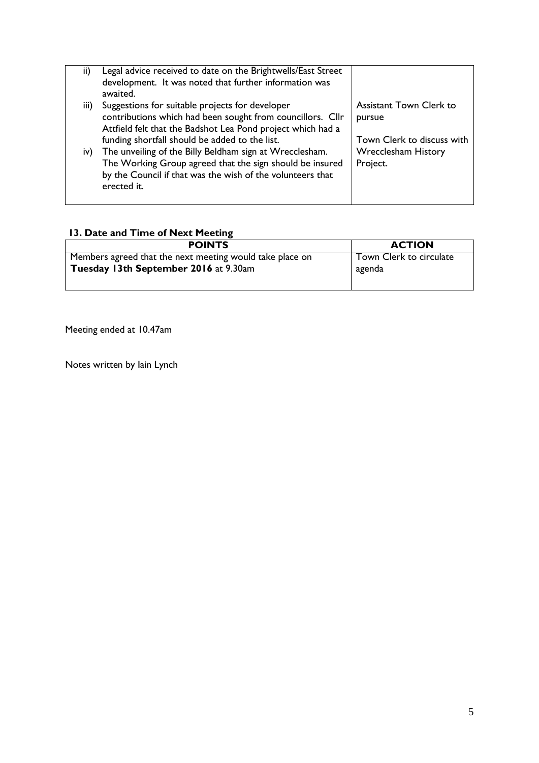| ii)  | Legal advice received to date on the Brightwells/East Street |                                |
|------|--------------------------------------------------------------|--------------------------------|
|      | development. It was noted that further information was       |                                |
|      |                                                              |                                |
|      | awaited.                                                     |                                |
| iii) | Suggestions for suitable projects for developer              | <b>Assistant Town Clerk to</b> |
|      | contributions which had been sought from councillors. Cllr   |                                |
|      |                                                              | pursue                         |
|      | Attfield felt that the Badshot Lea Pond project which had a  |                                |
|      | funding shortfall should be added to the list.               | Town Clerk to discuss with     |
|      |                                                              |                                |
| iv)  | The unveiling of the Billy Beldham sign at Wrecclesham.      | <b>Wrecclesham History</b>     |
|      |                                                              |                                |
|      | The Working Group agreed that the sign should be insured     | Project.                       |
|      | by the Council if that was the wish of the volunteers that   |                                |
|      |                                                              |                                |
|      | erected it.                                                  |                                |
|      |                                                              |                                |

# **13. Date and Time of Next Meeting**

| <b>POINTS</b>                                            | <b>ACTION</b>           |
|----------------------------------------------------------|-------------------------|
| Members agreed that the next meeting would take place on | Town Clerk to circulate |
| Tuesday 13th September 2016 at 9.30am                    | agenda                  |

Meeting ended at 10.47am

Notes written by Iain Lynch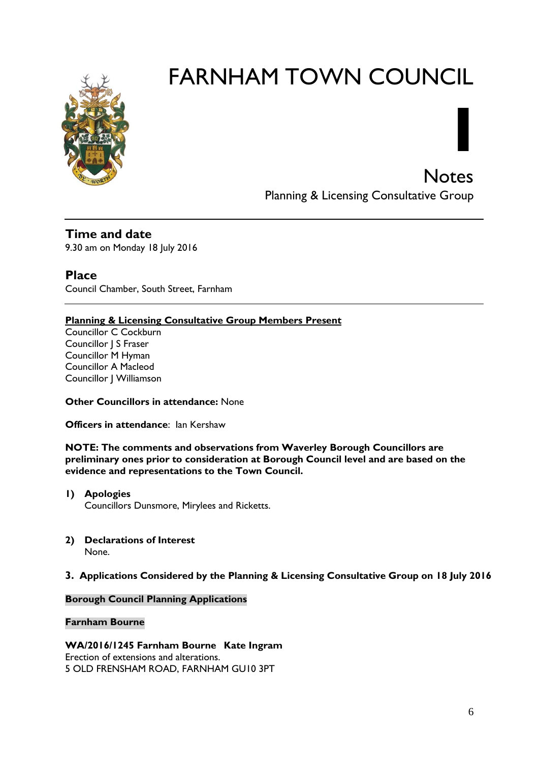

# FARNHAM TOWN COUNCIL

**Notes** Planning & Licensing Consultative Group

**I**

**Time and date**

9.30 am on Monday 18 July 2016

**Place** Council Chamber, South Street, Farnham

## **Planning & Licensing Consultative Group Members Present**

Councillor C Cockburn Councillor | S Fraser Councillor M Hyman Councillor A Macleod Councillor J Williamson

**Other Councillors in attendance:** None

**Officers in attendance:** Ian Kershaw

**NOTE: The comments and observations from Waverley Borough Councillors are preliminary ones prior to consideration at Borough Council level and are based on the evidence and representations to the Town Council.**

- **1) Apologies**  Councillors Dunsmore, Mirylees and Ricketts.
- **2) Declarations of Interest** None.

## **3. Applications Considered by the Planning & Licensing Consultative Group on 18 July 2016**

#### **Borough Council Planning Applications**

#### **Farnham Bourne**

**WA/2016/1245 Farnham Bourne Kate Ingram** Erection of extensions and alterations. 5 OLD FRENSHAM ROAD, FARNHAM GU10 3PT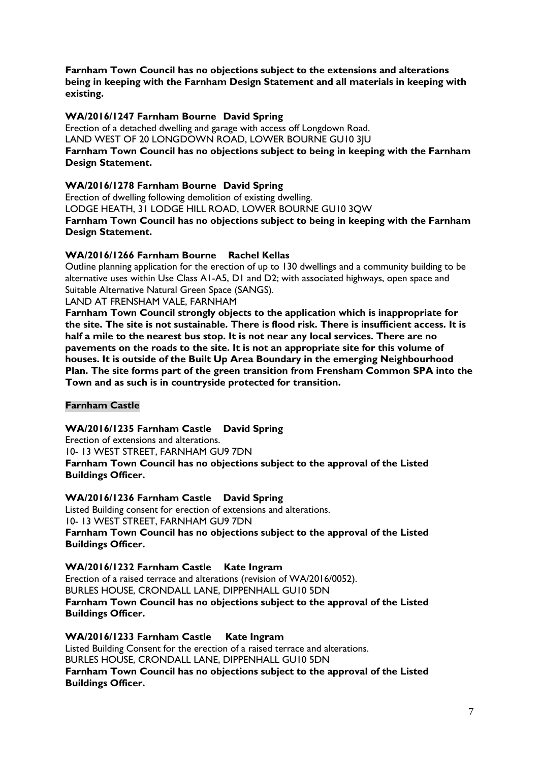**Farnham Town Council has no objections subject to the extensions and alterations being in keeping with the Farnham Design Statement and all materials in keeping with existing.**

#### **WA/2016/1247 Farnham Bourne David Spring**

Erection of a detached dwelling and garage with access off Longdown Road. LAND WEST OF 20 LONGDOWN ROAD, LOWER BOURNE GU10 3JU **Farnham Town Council has no objections subject to being in keeping with the Farnham Design Statement.**

#### **WA/2016/1278 Farnham Bourne David Spring**

Erection of dwelling following demolition of existing dwelling. LODGE HEATH, 31 LODGE HILL ROAD, LOWER BOURNE GU10 3QW **Farnham Town Council has no objections subject to being in keeping with the Farnham Design Statement.**

#### **WA/2016/1266 Farnham Bourne Rachel Kellas**

Outline planning application for the erection of up to 130 dwellings and a community building to be alternative uses within Use Class A1-A5, D1 and D2; with associated highways, open space and Suitable Alternative Natural Green Space (SANGS).

LAND AT FRENSHAM VALE, FARNHAM

**Farnham Town Council strongly objects to the application which is inappropriate for the site. The site is not sustainable. There is flood risk. There is insufficient access. It is half a mile to the nearest bus stop. It is not near any local services. There are no pavements on the roads to the site. It is not an appropriate site for this volume of houses. It is outside of the Built Up Area Boundary in the emerging Neighbourhood Plan. The site forms part of the green transition from Frensham Common SPA into the Town and as such is in countryside protected for transition.** 

**Farnham Castle**

**WA/2016/1235 Farnham Castle David Spring**

Erection of extensions and alterations. 10- 13 WEST STREET, FARNHAM GU9 7DN **Farnham Town Council has no objections subject to the approval of the Listed Buildings Officer.**

**WA/2016/1236 Farnham Castle David Spring**

Listed Building consent for erection of extensions and alterations. 10- 13 WEST STREET, FARNHAM GU9 7DN **Farnham Town Council has no objections subject to the approval of the Listed Buildings Officer.**

#### **WA/2016/1232 Farnham Castle Kate Ingram**

Erection of a raised terrace and alterations (revision of WA/2016/0052). BURLES HOUSE, CRONDALL LANE, DIPPENHALL GU10 5DN **Farnham Town Council has no objections subject to the approval of the Listed Buildings Officer.**

**WA/2016/1233 Farnham Castle Kate Ingram** Listed Building Consent for the erection of a raised terrace and alterations. BURLES HOUSE, CRONDALL LANE, DIPPENHALL GU10 5DN **Farnham Town Council has no objections subject to the approval of the Listed Buildings Officer.**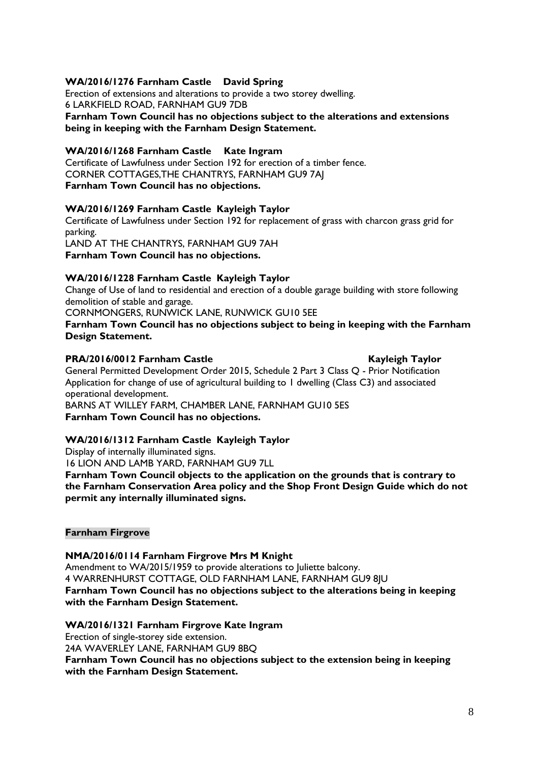#### **WA/2016/1276 Farnham Castle David Spring**

Erection of extensions and alterations to provide a two storey dwelling. 6 LARKFIELD ROAD, FARNHAM GU9 7DB

**Farnham Town Council has no objections subject to the alterations and extensions being in keeping with the Farnham Design Statement.**

#### **WA/2016/1268 Farnham Castle Kate Ingram**

Certificate of Lawfulness under Section 192 for erection of a timber fence. CORNER COTTAGES,THE CHANTRYS, FARNHAM GU9 7AJ **Farnham Town Council has no objections.**

#### **WA/2016/1269 Farnham Castle Kayleigh Taylor**

Certificate of Lawfulness under Section 192 for replacement of grass with charcon grass grid for parking. LAND AT THE CHANTRYS, FARNHAM GU9 7AH

**Farnham Town Council has no objections.**

#### **WA/2016/1228 Farnham Castle Kayleigh Taylor**

Change of Use of land to residential and erection of a double garage building with store following demolition of stable and garage.

CORNMONGERS, RUNWICK LANE, RUNWICK GU10 5EE

**Farnham Town Council has no objections subject to being in keeping with the Farnham Design Statement.**

#### **PRA/2016/0012 Farnham Castle Kayleigh Taylor**

General Permitted Development Order 2015, Schedule 2 Part 3 Class Q - Prior Notification Application for change of use of agricultural building to 1 dwelling (Class C3) and associated operational development.

BARNS AT WILLEY FARM, CHAMBER LANE, FARNHAM GU10 5ES **Farnham Town Council has no objections.**

#### **WA/2016/1312 Farnham Castle Kayleigh Taylor**

Display of internally illuminated signs.

16 LION AND LAMB YARD, FARNHAM GU9 7LL

**Farnham Town Council objects to the application on the grounds that is contrary to the Farnham Conservation Area policy and the Shop Front Design Guide which do not permit any internally illuminated signs.**

#### **Farnham Firgrove**

**NMA/2016/0114 Farnham Firgrove Mrs M Knight** Amendment to WA/2015/1959 to provide alterations to Juliette balcony. 4 WARRENHURST COTTAGE, OLD FARNHAM LANE, FARNHAM GU9 8JU **Farnham Town Council has no objections subject to the alterations being in keeping with the Farnham Design Statement.**

#### **WA/2016/1321 Farnham Firgrove Kate Ingram**

Erection of single-storey side extension. 24A WAVERLEY LANE, FARNHAM GU9 8BQ

**Farnham Town Council has no objections subject to the extension being in keeping with the Farnham Design Statement.**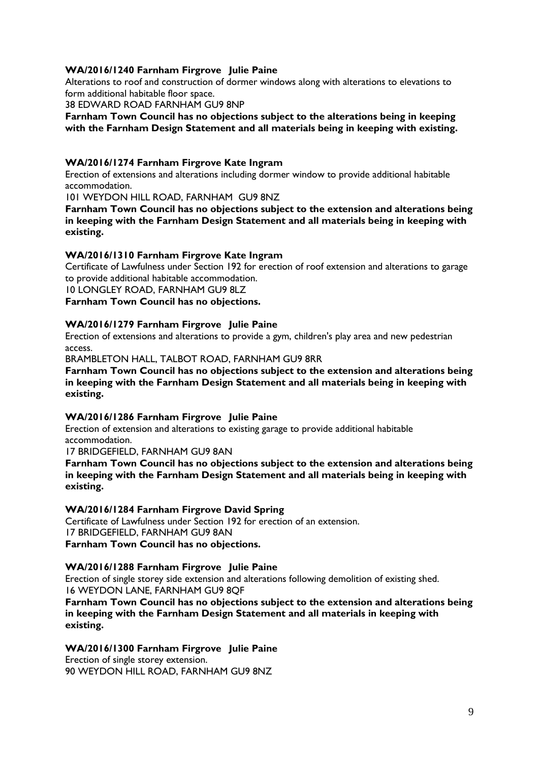#### **WA/2016/1240 Farnham Firgrove Julie Paine**

Alterations to roof and construction of dormer windows along with alterations to elevations to form additional habitable floor space.

38 EDWARD ROAD FARNHAM GU9 8NP

**Farnham Town Council has no objections subject to the alterations being in keeping with the Farnham Design Statement and all materials being in keeping with existing.**

#### **WA/2016/1274 Farnham Firgrove Kate Ingram**

Erection of extensions and alterations including dormer window to provide additional habitable accommodation.

101 WEYDON HILL ROAD, FARNHAM GU9 8NZ

**Farnham Town Council has no objections subject to the extension and alterations being in keeping with the Farnham Design Statement and all materials being in keeping with existing.**

#### **WA/2016/1310 Farnham Firgrove Kate Ingram**

Certificate of Lawfulness under Section 192 for erection of roof extension and alterations to garage to provide additional habitable accommodation.

10 LONGLEY ROAD, FARNHAM GU9 8LZ

**Farnham Town Council has no objections.**

#### **WA/2016/1279 Farnham Firgrove Julie Paine**

Erection of extensions and alterations to provide a gym, children's play area and new pedestrian access.

BRAMBLETON HALL, TALBOT ROAD, FARNHAM GU9 8RR

#### **Farnham Town Council has no objections subject to the extension and alterations being in keeping with the Farnham Design Statement and all materials being in keeping with existing.**

#### **WA/2016/1286 Farnham Firgrove Julie Paine**

Erection of extension and alterations to existing garage to provide additional habitable accommodation.

17 BRIDGEFIELD, FARNHAM GU9 8AN

**Farnham Town Council has no objections subject to the extension and alterations being in keeping with the Farnham Design Statement and all materials being in keeping with existing.**

#### **WA/2016/1284 Farnham Firgrove David Spring**

Certificate of Lawfulness under Section 192 for erection of an extension. 17 BRIDGEFIELD, FARNHAM GU9 8AN **Farnham Town Council has no objections.**

#### **WA/2016/1288 Farnham Firgrove Julie Paine**

Erection of single storey side extension and alterations following demolition of existing shed. 16 WEYDON LANE, FARNHAM GU9 8QF

#### **Farnham Town Council has no objections subject to the extension and alterations being in keeping with the Farnham Design Statement and all materials in keeping with existing.**

#### **WA/2016/1300 Farnham Firgrove Julie Paine**

Erection of single storey extension. 90 WEYDON HILL ROAD, FARNHAM GU9 8NZ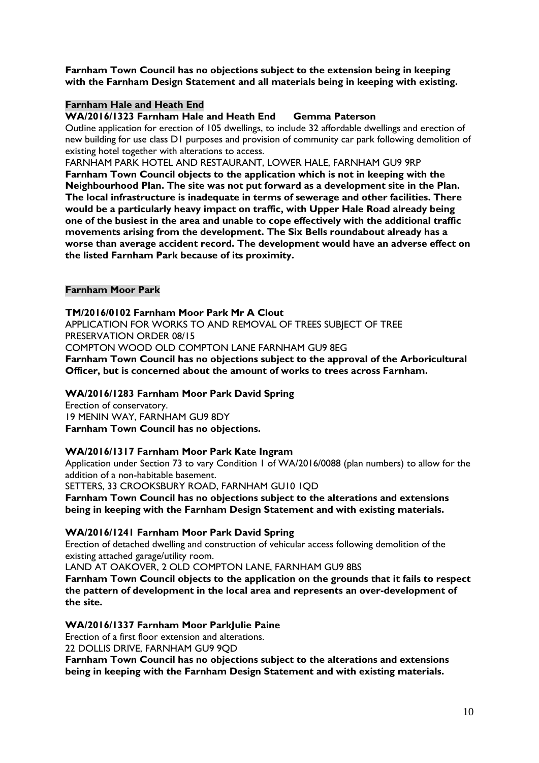**Farnham Town Council has no objections subject to the extension being in keeping with the Farnham Design Statement and all materials being in keeping with existing.**

#### **Farnham Hale and Heath End**

**WA/2016/1323 Farnham Hale and Heath End Gemma Paterson**

Outline application for erection of 105 dwellings, to include 32 affordable dwellings and erection of new building for use class D1 purposes and provision of community car park following demolition of existing hotel together with alterations to access.

FARNHAM PARK HOTEL AND RESTAURANT, LOWER HALE, FARNHAM GU9 9RP **Farnham Town Council objects to the application which is not in keeping with the Neighbourhood Plan. The site was not put forward as a development site in the Plan. The local infrastructure is inadequate in terms of sewerage and other facilities. There would be a particularly heavy impact on traffic, with Upper Hale Road already being one of the busiest in the area and unable to cope effectively with the additional traffic movements arising from the development. The Six Bells roundabout already has a worse than average accident record. The development would have an adverse effect on the listed Farnham Park because of its proximity.**

#### **Farnham Moor Park**

**TM/2016/0102 Farnham Moor Park Mr A Clout**

APPLICATION FOR WORKS TO AND REMOVAL OF TREES SUBJECT OF TREE PRESERVATION ORDER 08/15 COMPTON WOOD OLD COMPTON LANE FARNHAM GU9 8EG

**Farnham Town Council has no objections subject to the approval of the Arboricultural** 

**Officer, but is concerned about the amount of works to trees across Farnham.**

#### **WA/2016/1283 Farnham Moor Park David Spring**

Erection of conservatory. 19 MENIN WAY, FARNHAM GU9 8DY **Farnham Town Council has no objections.** 

#### **WA/2016/1317 Farnham Moor Park Kate Ingram**

Application under Section 73 to vary Condition 1 of WA/2016/0088 (plan numbers) to allow for the addition of a non-habitable basement.

SETTERS, 33 CROOKSBURY ROAD, FARNHAM GU10 1QD

**Farnham Town Council has no objections subject to the alterations and extensions being in keeping with the Farnham Design Statement and with existing materials.**

#### **WA/2016/1241 Farnham Moor Park David Spring**

Erection of detached dwelling and construction of vehicular access following demolition of the existing attached garage/utility room.

LAND AT OAKOVER, 2 OLD COMPTON LANE, FARNHAM GU9 8BS

**Farnham Town Council objects to the application on the grounds that it fails to respect the pattern of development in the local area and represents an over-development of the site.**

#### **WA/2016/1337 Farnham Moor ParkJulie Paine**

Erection of a first floor extension and alterations.

22 DOLLIS DRIVE, FARNHAM GU9 9QD

**Farnham Town Council has no objections subject to the alterations and extensions being in keeping with the Farnham Design Statement and with existing materials.**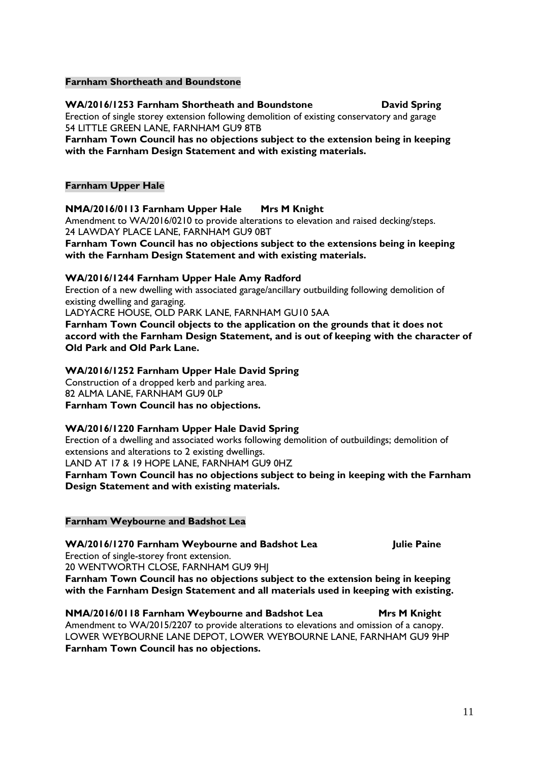#### **Farnham Shortheath and Boundstone**

#### **WA/2016/1253 Farnham Shortheath and Boundstone David Spring**

Erection of single storey extension following demolition of existing conservatory and garage 54 LITTLE GREEN LANE, FARNHAM GU9 8TB

**Farnham Town Council has no objections subject to the extension being in keeping with the Farnham Design Statement and with existing materials.**

#### **Farnham Upper Hale**

#### **NMA/2016/0113 Farnham Upper Hale Mrs M Knight**

Amendment to WA/2016/0210 to provide alterations to elevation and raised decking/steps. 24 LAWDAY PLACE LANE, FARNHAM GU9 0BT

**Farnham Town Council has no objections subject to the extensions being in keeping with the Farnham Design Statement and with existing materials.**

#### **WA/2016/1244 Farnham Upper Hale Amy Radford**

Erection of a new dwelling with associated garage/ancillary outbuilding following demolition of existing dwelling and garaging.

LADYACRE HOUSE, OLD PARK LANE, FARNHAM GU10 5AA

**Farnham Town Council objects to the application on the grounds that it does not accord with the Farnham Design Statement, and is out of keeping with the character of Old Park and Old Park Lane.**

#### **WA/2016/1252 Farnham Upper Hale David Spring**

Construction of a dropped kerb and parking area. 82 ALMA LANE, FARNHAM GU9 0LP **Farnham Town Council has no objections.**

#### **WA/2016/1220 Farnham Upper Hale David Spring**

Erection of a dwelling and associated works following demolition of outbuildings; demolition of extensions and alterations to 2 existing dwellings. LAND AT 17 & 19 HOPE LANE, FARNHAM GU9 0HZ **Farnham Town Council has no objections subject to being in keeping with the Farnham Design Statement and with existing materials.**

#### **Farnham Weybourne and Badshot Lea**

#### **WA/2016/1270 Farnham Weybourne and Badshot Lea Julie Paine**

Erection of single-storey front extension.

20 WENTWORTH CLOSE, FARNHAM GU9 9HJ **Farnham Town Council has no objections subject to the extension being in keeping** 

# **with the Farnham Design Statement and all materials used in keeping with existing.**

**NMA/2016/0118 Farnham Weybourne and Badshot Lea Mrs M Knight** Amendment to WA/2015/2207 to provide alterations to elevations and omission of a canopy. LOWER WEYBOURNE LANE DEPOT, LOWER WEYBOURNE LANE, FARNHAM GU9 9HP

**Farnham Town Council has no objections.**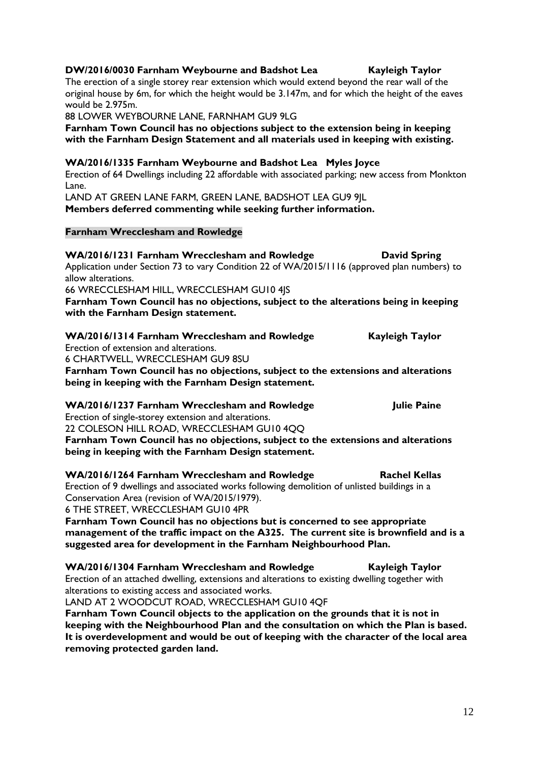| Erection of extension and alterations.                                                                                                                                   | $\mathbf{u}_i$         |
|--------------------------------------------------------------------------------------------------------------------------------------------------------------------------|------------------------|
| 6 CHARTWELL, WRECCLESHAM GU9 8SU                                                                                                                                         |                        |
| Farnham Town Council has no objections, subject to the extensions and alterations                                                                                        |                        |
| being in keeping with the Farnham Design statement.                                                                                                                      |                        |
| WA/2016/1237 Farnham Wrecclesham and Rowledge                                                                                                                            | <b>Julie Paine</b>     |
| Erection of single-storey extension and alterations.                                                                                                                     |                        |
| 22 COLESON HILL ROAD, WRECCLESHAM GUI0 4QQ                                                                                                                               |                        |
| Farnham Town Council has no objections, subject to the extensions and alterations<br>being in keeping with the Farnham Design statement.                                 |                        |
| WA/2016/1264 Farnham Wrecclesham and Rowledge                                                                                                                            | <b>Rachel Kellas</b>   |
| Erection of 9 dwellings and associated works following demolition of unlisted buildings in a                                                                             |                        |
| Conservation Area (revision of WA/2015/1979).                                                                                                                            |                        |
| 6 THE STREET, WRECCLESHAM GUI0 4PR                                                                                                                                       |                        |
| Farnham Town Council has no objections but is concerned to see appropriate                                                                                               |                        |
| management of the traffic impact on the A325. The current site is brownfield and is a<br>suggested area for development in the Farnham Neighbourhood Plan.               |                        |
| WA/2016/1304 Farnham Wrecclesham and Rowledge                                                                                                                            | <b>Kayleigh Taylor</b> |
| Erection of an attached dwelling, extensions and alterations to existing dwelling together with                                                                          |                        |
| alterations to existing access and associated works.                                                                                                                     |                        |
| LAND AT 2 WOODCUT ROAD, WRECCLESHAM GUI0 4QF                                                                                                                             |                        |
| Farnham Town Council objects to the application on the grounds that it is not in<br>keeping with the Neighbourhood Plan and the consultation on which the Plan is based. |                        |
| It is overdevelopment and would be out of keeping with the character of the local area<br>removing protected garden land.                                                |                        |
|                                                                                                                                                                          |                        |
|                                                                                                                                                                          |                        |

Application under Section 73 to vary Condition 22 of WA/2015/1116 (approved plan numbers) to allow alterations. 66 WRECCLESHAM HILL, WRECCLESHAM GU10 4JS

**Farnham Town Council has no objections, subject to the alterations being in keeping** 

**with the Farnham Design statement.**

**WA/2016/1231 Farnham Wrecclesham and Rowledge David Spring**

**Farnham Wrecclesham and Rowledge**

Lane.

The erection of a single storey rear extension which would extend beyond the rear wall of the original house by 6m, for which the height would be 3.147m, and for which the height of the eaves would be 2.975m. 88 LOWER WEYBOURNE LANE, FARNHAM GU9 9LG

**Farnham Town Council has no objections subject to the extension being in keeping with the Farnham Design Statement and all materials used in keeping with existing.**

Erection of 64 Dwellings including 22 affordable with associated parking; new access from Monkton

**WA/2016/1335 Farnham Weybourne and Badshot Lea Myles Joyce**

LAND AT GREEN LANE FARM, GREEN LANE, BADSHOT LEA GU9 9JL **Members deferred commenting while seeking further information.**

**DW/2016/0030 Farnham Weybourne and Badshot Lea Kayleigh Taylor**

**WA/2016/1314 Farnham Wrecclesham and Rowledge Kayleigh Taylor**